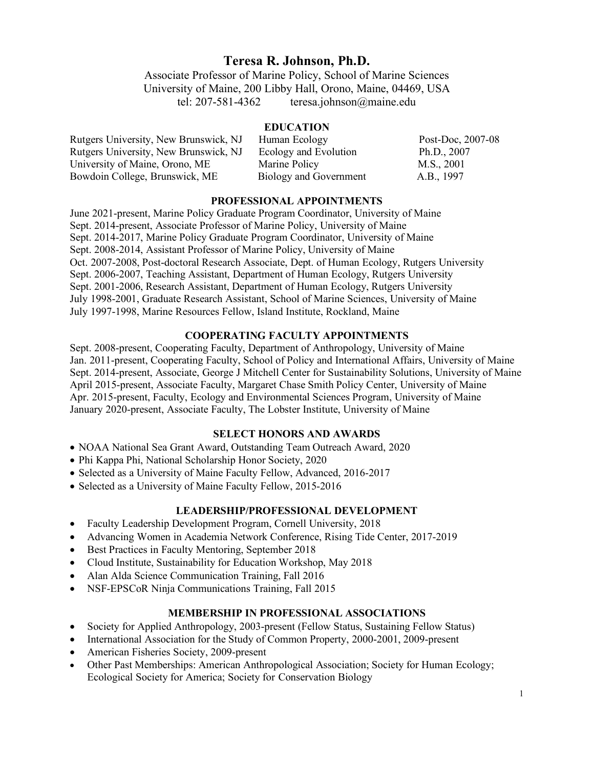# **Teresa R. Johnson, Ph.D.**

Associate Professor of Marine Policy, School of Marine Sciences University of Maine, 200 Libby Hall, Orono, Maine, 04469, USA tel: 207-581-4362 teresa.johnson@maine.edu

## **EDUCATION**

| Rutgers University, New Brunswick, NJ | Human Ecology          | Post-Doc, 2007-08 |
|---------------------------------------|------------------------|-------------------|
| Rutgers University, New Brunswick, NJ | Ecology and Evolution  | Ph.D., 2007       |
| University of Maine, Orono, ME        | Marine Policy          | M.S., 2001        |
| Bowdoin College, Brunswick, ME        | Biology and Government | A.B., 1997        |

#### **PROFESSIONAL APPOINTMENTS**

June 2021-present, Marine Policy Graduate Program Coordinator, University of Maine Sept. 2014-present, Associate Professor of Marine Policy, University of Maine Sept. 2014-2017, Marine Policy Graduate Program Coordinator, University of Maine Sept. 2008-2014, Assistant Professor of Marine Policy, University of Maine Oct. 2007-2008, Post-doctoral Research Associate, Dept. of Human Ecology, Rutgers University Sept. 2006-2007, Teaching Assistant, Department of Human Ecology, Rutgers University Sept. 2001-2006, Research Assistant, Department of Human Ecology, Rutgers University July 1998-2001, Graduate Research Assistant, School of Marine Sciences, University of Maine July 1997-1998, Marine Resources Fellow, Island Institute, Rockland, Maine

## **COOPERATING FACULTY APPOINTMENTS**

Sept. 2008-present, Cooperating Faculty, Department of Anthropology, University of Maine Jan. 2011-present, Cooperating Faculty, School of Policy and International Affairs, University of Maine Sept. 2014-present, Associate, George J Mitchell Center for Sustainability Solutions, University of Maine April 2015-present, Associate Faculty, Margaret Chase Smith Policy Center, University of Maine Apr. 2015-present, Faculty, Ecology and Environmental Sciences Program, University of Maine January 2020-present, Associate Faculty, The Lobster Institute, University of Maine

## **SELECT HONORS AND AWARDS**

- NOAA National Sea Grant Award, Outstanding Team Outreach Award, 2020
- Phi Kappa Phi, National Scholarship Honor Society, 2020
- Selected as a University of Maine Faculty Fellow, Advanced, 2016-2017
- Selected as a University of Maine Faculty Fellow, 2015-2016

### **LEADERSHIP/PROFESSIONAL DEVELOPMENT**

- Faculty Leadership Development Program, Cornell University, 2018
- Advancing Women in Academia Network Conference, Rising Tide Center, 2017-2019
- Best Practices in Faculty Mentoring, September 2018
- Cloud Institute, Sustainability for Education Workshop, May 2018
- Alan Alda Science Communication Training, Fall 2016
- NSF-EPSCoR Ninja Communications Training, Fall 2015

## **MEMBERSHIP IN PROFESSIONAL ASSOCIATIONS**

- Society for Applied Anthropology, 2003-present (Fellow Status, Sustaining Fellow Status)
- International Association for the Study of Common Property, 2000-2001, 2009-present
- American Fisheries Society, 2009-present
- Other Past Memberships: American Anthropological Association; Society for Human Ecology; Ecological Society for America; Society for Conservation Biology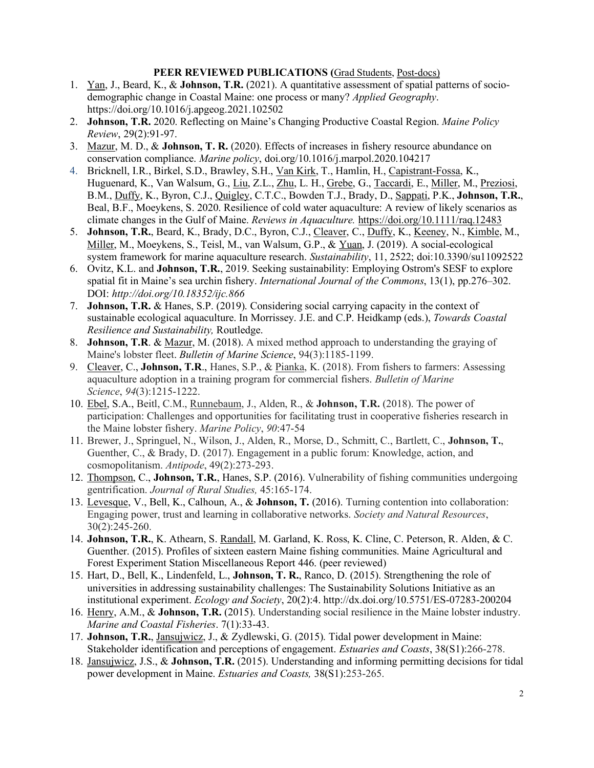## **PEER REVIEWED PUBLICATIONS (**Grad Students, Post-docs)

- 1. Yan, J., Beard, K., & **Johnson, T.R.** (2021). A quantitative assessment of spatial patterns of sociodemographic change in Coastal Maine: one process or many? *Applied Geography*. https://doi.org/10.1016/j.apgeog.2021.102502
- 2. **Johnson, T.R.** 2020. Reflecting on Maine's Changing Productive Coastal Region. *Maine Policy Review*, 29(2):91-97.
- 3. Mazur, M. D., & **Johnson, T. R.** (2020). Effects of increases in fishery resource abundance on conservation compliance. *Marine policy*, doi.org/10.1016/j.marpol.2020.104217
- 4. Bricknell, I.R., Birkel, S.D., Brawley, S.H., Van Kirk, T., Hamlin, H., Capistrant-Fossa, K., Huguenard, K., Van Walsum, G., Liu, Z.L., Zhu, L. H., Grebe, G., Taccardi, E., Miller, M., Preziosi, B.M., Duffy, K., Byron, C.J., Quigley, C.T.C., Bowden T.J., Brady, D., Sappati, P.K., **Johnson, T.R.**, Beal, B.F., Moeykens, S. 2020. Resilience of cold water aquaculture: A review of likely scenarios as climate changes in the Gulf of Maine. *Reviews in Aquaculture.* https://doi.org/10.1111/raq.12483
- 5. **Johnson, T.R.**, Beard, K., Brady, D.C., Byron, C.J., Cleaver, C., Duffy, K., Keeney, N., Kimble, M., Miller, M., Moeykens, S., Teisl, M., van Walsum, G.P., & Yuan, J. (2019). A social-ecological system framework for marine aquaculture research. *Sustainability*, 11, 2522; doi:10.3390/su11092522
- 6. Ovitz, K.L. and **Johnson, T.R.**, 2019. Seeking sustainability: Employing Ostrom's SESF to explore spatial fit in Maine's sea urchin fishery. *International Journal of the Commons*, 13(1), pp.276–302. DOI: *http://doi.org/10.18352/ijc.866*
- 7. **Johnson, T.R.** & Hanes, S.P. (2019). Considering social carrying capacity in the context of sustainable ecological aquaculture. In Morrissey. J.E. and C.P. Heidkamp (eds.), *Towards Coastal Resilience and Sustainability,* Routledge.
- 8. **Johnson, T.R**. & Mazur, M. (2018). A mixed method approach to understanding the graying of Maine's lobster fleet. *Bulletin of Marine Science*, 94(3):1185-1199.
- 9. Cleaver, C., **Johnson, T.R**., Hanes, S.P., & Pianka, K. (2018). From fishers to farmers: Assessing aquaculture adoption in a training program for commercial fishers. *Bulletin of Marine Science*, *94*(3):1215-1222.
- 10. Ebel, S.A., Beitl, C.M., Runnebaum, J., Alden, R., & **Johnson, T.R.** (2018). The power of participation: Challenges and opportunities for facilitating trust in cooperative fisheries research in the Maine lobster fishery. *Marine Policy*, *90*:47-54
- 11. Brewer, J., Springuel, N., Wilson, J., Alden, R., Morse, D., Schmitt, C., Bartlett, C., **Johnson, T.**, Guenther, C., & Brady, D. (2017). Engagement in a public forum: Knowledge, action, and cosmopolitanism. *Antipode*, 49(2):273-293.
- 12. Thompson, C., **Johnson, T.R.**, Hanes, S.P. (2016). Vulnerability of fishing communities undergoing gentrification. *Journal of Rural Studies,* 45:165-174.
- 13. Levesque, V., Bell, K., Calhoun, A., & **Johnson, T.** (2016). Turning contention into collaboration: Engaging power, trust and learning in collaborative networks. *Society and Natural Resources*, 30(2):245-260.
- 14. **Johnson, T.R.**, K. Athearn, S. Randall, M. Garland, K. Ross, K. Cline, C. Peterson, R. Alden, & C. Guenther. (2015). Profiles of sixteen eastern Maine fishing communities. Maine Agricultural and Forest Experiment Station Miscellaneous Report 446. (peer reviewed)
- 15. Hart, D., Bell, K., Lindenfeld, L., **Johnson, T. R.**, Ranco, D. (2015). Strengthening the role of universities in addressing sustainability challenges: The Sustainability Solutions Initiative as an institutional experiment. *Ecology and Society*, 20(2):4. http://dx.doi.org/10.5751/ES-07283-200204
- 16. Henry, A.M., & **Johnson, T.R.** (2015). Understanding social resilience in the Maine lobster industry. *Marine and Coastal Fisheries*. 7(1):33-43.
- 17. **Johnson, T.R.**, Jansujwicz, J., & Zydlewski, G. (2015). Tidal power development in Maine: Stakeholder identification and perceptions of engagement. *Estuaries and Coasts*, 38(S1):266-278.
- 18. Jansujwicz, J.S., & **Johnson, T.R.** (2015). Understanding and informing permitting decisions for tidal power development in Maine. *Estuaries and Coasts,* 38(S1):253-265.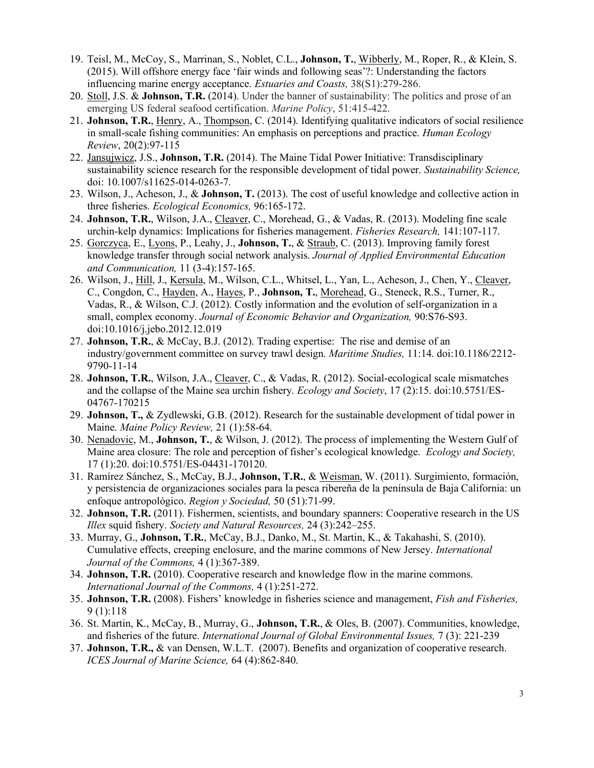- 19. Teisl, M., McCoy, S., Marrinan, S., Noblet, C.L., **Johnson, T.**, Wibberly, M., Roper, R., & Klein, S. (2015). Will offshore energy face 'fair winds and following seas'?: Understanding the factors influencing marine energy acceptance. *Estuaries and Coasts,* 38(S1):279-286.
- 20. Stoll, J.S. & **Johnson, T.R.** (2014). Under the banner of sustainability: The politics and prose of an emerging US federal seafood certification. *Marine Policy*, 51:415-422.
- 21. **Johnson, T.R.**, Henry, A., Thompson, C. (2014). Identifying qualitative indicators of social resilience in small-scale fishing communities: An emphasis on perceptions and practice. *Human Ecology Review*, 20(2):97-115
- 22. Jansujwicz, J.S., **Johnson, T.R.** (2014). The Maine Tidal Power Initiative: Transdisciplinary sustainability science research for the responsible development of tidal power. *Sustainability Science,*  doi: 10.1007/s11625-014-0263-7.
- 23. Wilson, J., Acheson, J., & **Johnson, T.** (2013). The cost of useful knowledge and collective action in three fisheries. *Ecological Economics,* 96:165-172.
- 24. **Johnson, T.R.**, Wilson, J.A., Cleaver, C., Morehead, G., & Vadas, R. (2013). Modeling fine scale urchin-kelp dynamics: Implications for fisheries management. *Fisheries Research,* 141:107-117.
- 25. Gorczyca, E., Lyons, P., Leahy, J., **Johnson, T.**, & Straub, C. (2013). Improving family forest knowledge transfer through social network analysis. *Journal of Applied Environmental Education and Communication,* 11 (3-4):157-165.
- 26. Wilson, J., Hill, J., Kersula, M., Wilson, C.L., Whitsel, L., Yan, L., Acheson, J., Chen, Y., Cleaver, C., Congdon, C., Hayden, A., Hayes, P., **Johnson, T.**, Morehead, G., Steneck, R.S., Turner, R., Vadas, R., & Wilson, C.J. (2012). Costly information and the evolution of self-organization in a small, complex economy. *Journal of Economic Behavior and Organization,* 90:S76-S93. doi:10.1016/j.jebo.2012.12.019
- 27. **Johnson, T.R.**, & McCay, B.J. (2012). Trading expertise: The rise and demise of an industry/government committee on survey trawl design. *Maritime Studies,* 11:14. doi:10.1186/2212- 9790-11-14
- 28. **Johnson, T.R.**, Wilson, J.A., Cleaver, C., & Vadas, R. (2012). Social-ecological scale mismatches and the collapse of the Maine sea urchin fishery. *Ecology and Society*, 17 (2):15. doi:10.5751/ES-04767-170215
- 29. **Johnson, T.,** & Zydlewski, G.B. (2012). Research for the sustainable development of tidal power in Maine. *Maine Policy Review,* 21 (1):58-64.
- 30. Nenadovic, M., **Johnson, T.**, & Wilson, J. (2012). The process of implementing the Western Gulf of Maine area closure: The role and perception of fisher's ecological knowledge. *Ecology and Society,* 17 (1):20. doi:10.5751/ES-04431-170120.
- 31. Ramírez Sánchez, S., McCay, B.J., **Johnson, T.R.**, & Weisman, W. (2011). Surgimiento, formación, y persistencia de organizaciones sociales para la pesca ribereña de la península de Baja California: un enfoque antropológico. *Region y Sociedad,* 50 (51):71-99.
- 32. **Johnson, T.R.** (2011). Fishermen, scientists, and boundary spanners: Cooperative research in the US *Illex* squid fishery. *Society and Natural Resources,* 24 (3):242–255.
- 33. Murray, G., **Johnson, T.R.**, McCay, B.J., Danko, M., St. Martin, K., & Takahashi, S. (2010). Cumulative effects, creeping enclosure, and the marine commons of New Jersey. *International Journal of the Commons,* 4 (1):367-389.
- 34. **Johnson, T.R.** (2010). Cooperative research and knowledge flow in the marine commons. *International Journal of the Commons,* 4 (1):251-272.
- 35. **Johnson, T.R.** (2008). Fishers' knowledge in fisheries science and management, *Fish and Fisheries,* 9 (1):118
- 36. St. Martin, K., McCay, B., Murray, G., **Johnson, T.R.**, & Oles, B. (2007). Communities, knowledge, and fisheries of the future. *International Journal of Global Environmental Issues,* 7 (3): 221-239
- 37. **Johnson, T.R.,** & van Densen, W.L.T. (2007). Benefits and organization of cooperative research. *ICES Journal of Marine Science,* 64 (4):862-840.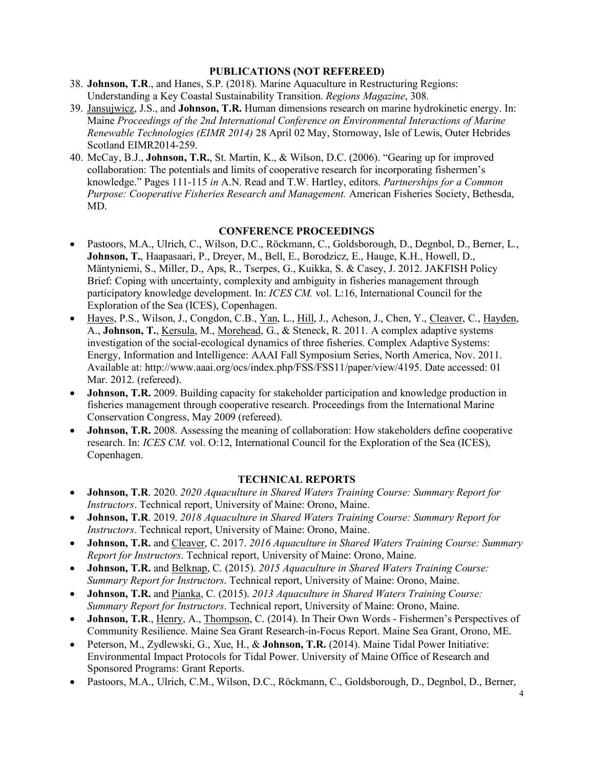## **PUBLICATIONS (NOT REFEREED)**

- 38. **Johnson, T.R**., and Hanes, S.P. (2018). Marine Aquaculture in Restructuring Regions: Understanding a Key Coastal Sustainability Transition. *Regions Magazine*, 308.
- 39. Jansujwicz, J.S., and **Johnson, T.R.** Human dimensions research on marine hydrokinetic energy. In: Maine *Proceedings of the 2nd International Conference on Environmental Interactions of Marine Renewable Technologies (EIMR 2014)* 28 April 02 May, Stornoway, Isle of Lewis, Outer Hebrides Scotland EIMR2014-259.
- 40. McCay, B.J., **Johnson, T.R.**, St. Martin, K., & Wilson, D.C. (2006). "Gearing up for improved collaboration: The potentials and limits of cooperative research for incorporating fishermen's knowledge." Pages 111-115 *in* A.N. Read and T.W. Hartley, editors. *Partnerships for a Common Purpose: Cooperative Fisheries Research and Management.* American Fisheries Society, Bethesda, MD.

#### **CONFERENCE PROCEEDINGS**

- Pastoors, M.A., Ulrich, C., Wilson, D.C., Röckmann, C., Goldsborough, D., Degnbol, D., Berner, L., **Johnson, T.**, Haapasaari, P., Dreyer, M., Bell, E., Borodzicz, E., Hauge, K.H., Howell, D., Mäntyniemi, S., Miller, D., Aps, R., Tserpes, G., Kuikka, S. & Casey, J. 2012. JAKFISH Policy Brief: Coping with uncertainty, complexity and ambiguity in fisheries management through participatory knowledge development. In: *ICES CM.* vol. L:16, International Council for the Exploration of the Sea (ICES), Copenhagen.
- Hayes, P.S., Wilson, J., Congdon, C.B., Yan, L., Hill, J., Acheson, J., Chen, Y., Cleaver, C., Hayden, A., **Johnson, T.**, Kersula, M., Morehead, G., & Steneck, R. 2011. A complex adaptive systems investigation of the social-ecological dynamics of three fisheries. Complex Adaptive Systems: Energy, Information and Intelligence: AAAI Fall Symposium Series, North America, Nov. 2011. Available at: http://www.aaai.org/ocs/index.php/FSS/FSS11/paper/view/4195. Date accessed: 01 Mar. 2012. (refereed).
- **Johnson, T.R.** 2009. Building capacity for stakeholder participation and knowledge production in fisheries management through cooperative research. Proceedings from the International Marine Conservation Congress, May 2009 (refereed).
- **Johnson, T.R.** 2008. Assessing the meaning of collaboration: How stakeholders define cooperative research. In: *ICES CM.* vol. O:12, International Council for the Exploration of the Sea (ICES), Copenhagen.

## **TECHNICAL REPORTS**

- **Johnson, T.R**. 2020. *2020 Aquaculture in Shared Waters Training Course: Summary Report for Instructors*. Technical report, University of Maine: Orono, Maine.
- **Johnson, T.R**. 2019. *2018 Aquaculture in Shared Waters Training Course: Summary Report for Instructors*. Technical report, University of Maine: Orono, Maine.
- **Johnson, T.R.** and Cleaver, C. 2017. *2016 Aquaculture in Shared Waters Training Course: Summary Report for Instructors*. Technical report, University of Maine: Orono, Maine.
- **Johnson, T.R.** and Belknap, C. (2015). *2015 Aquaculture in Shared Waters Training Course: Summary Report for Instructors*. Technical report, University of Maine: Orono, Maine.
- **Johnson, T.R.** and Pianka, C. (2015). *2013 Aquaculture in Shared Waters Training Course: Summary Report for Instructors*. Technical report, University of Maine: Orono, Maine.
- **Johnson, T.R**., Henry, A., Thompson, C. (2014). In Their Own Words Fishermen's Perspectives of Community Resilience. Maine Sea Grant Research-in-Focus Report. Maine Sea Grant, Orono, ME.
- Peterson, M., Zydlewski, G., Xue, H., & **Johnson, T.R.** (2014). Maine Tidal Power Initiative: Environmental Impact Protocols for Tidal Power. University of Maine Office of Research and Sponsored Programs: Grant Reports.
- Pastoors, M.A., Ulrich, C.M., Wilson, D.C., Röckmann, C., Goldsborough, D., Degnbol, D., Berner,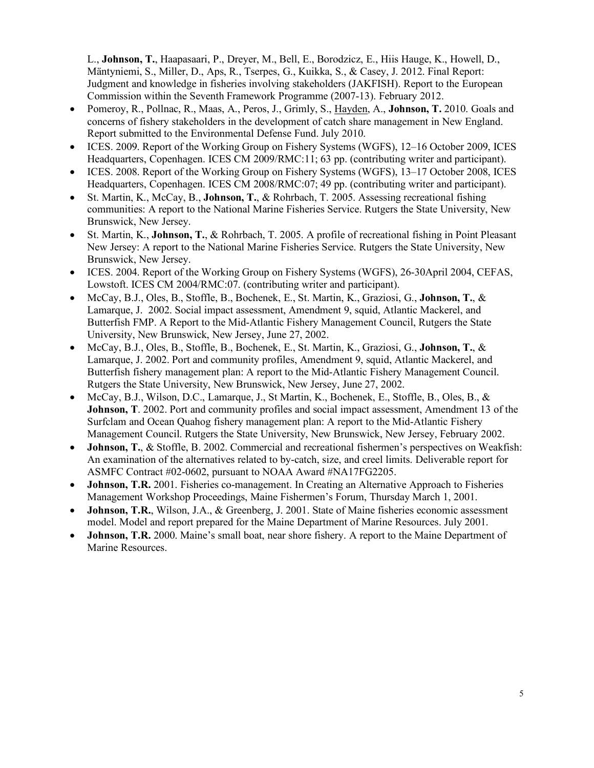L., **Johnson, T.**, Haapasaari, P., Dreyer, M., Bell, E., Borodzicz, E., Hiis Hauge, K., Howell, D., Mäntyniemi, S., Miller, D., Aps, R., Tserpes, G., Kuikka, S., & Casey, J. 2012. Final Report: Judgment and knowledge in fisheries involving stakeholders (JAKFISH). Report to the European Commission within the Seventh Framework Programme (2007-13). February 2012.

- Pomeroy, R., Pollnac, R., Maas, A., Peros, J., Grimly, S., Hayden, A., **Johnson, T.** 2010. Goals and concerns of fishery stakeholders in the development of catch share management in New England. Report submitted to the Environmental Defense Fund. July 2010.
- ICES. 2009. Report of the Working Group on Fishery Systems (WGFS), 12–16 October 2009, ICES Headquarters, Copenhagen. ICES CM 2009/RMC:11; 63 pp. (contributing writer and participant).
- ICES. 2008. Report of the Working Group on Fishery Systems (WGFS), 13–17 October 2008, ICES Headquarters, Copenhagen. ICES CM 2008/RMC:07; 49 pp. (contributing writer and participant).
- St. Martin, K., McCay, B., **Johnson, T.**, & Rohrbach, T. 2005. Assessing recreational fishing communities: A report to the National Marine Fisheries Service. Rutgers the State University, New Brunswick, New Jersey.
- St. Martin, K., **Johnson, T.**, & Rohrbach, T. 2005. A profile of recreational fishing in Point Pleasant New Jersey: A report to the National Marine Fisheries Service. Rutgers the State University, New Brunswick, New Jersey.
- ICES. 2004. Report of the Working Group on Fishery Systems (WGFS), 26-30April 2004, CEFAS, Lowstoft. ICES CM 2004/RMC:07. (contributing writer and participant).
- McCay, B.J., Oles, B., Stoffle, B., Bochenek, E., St. Martin, K., Graziosi, G., **Johnson, T.**, & Lamarque, J. 2002. Social impact assessment, Amendment 9, squid, Atlantic Mackerel, and Butterfish FMP. A Report to the Mid-Atlantic Fishery Management Council, Rutgers the State University, New Brunswick, New Jersey, June 27, 2002.
- McCay, B.J., Oles, B., Stoffle, B., Bochenek, E., St. Martin, K., Graziosi, G., **Johnson, T.**, & Lamarque, J. 2002. Port and community profiles, Amendment 9, squid, Atlantic Mackerel, and Butterfish fishery management plan: A report to the Mid-Atlantic Fishery Management Council. Rutgers the State University, New Brunswick, New Jersey, June 27, 2002.
- McCay, B.J., Wilson, D.C., Lamarque, J., St Martin, K., Bochenek, E., Stoffle, B., Oles, B., & **Johnson, T**. 2002. Port and community profiles and social impact assessment, Amendment 13 of the Surfclam and Ocean Quahog fishery management plan: A report to the Mid-Atlantic Fishery Management Council. Rutgers the State University, New Brunswick, New Jersey, February 2002.
- **Johnson, T.**, & Stoffle, B. 2002. Commercial and recreational fishermen's perspectives on Weakfish: An examination of the alternatives related to by-catch, size, and creel limits. Deliverable report for ASMFC Contract #02-0602, pursuant to NOAA Award #NA17FG2205.
- **Johnson, T.R.** 2001. Fisheries co-management. In Creating an Alternative Approach to Fisheries Management Workshop Proceedings, Maine Fishermen's Forum, Thursday March 1, 2001.
- **Johnson, T.R.**, Wilson, J.A., & Greenberg, J. 2001. State of Maine fisheries economic assessment model. Model and report prepared for the Maine Department of Marine Resources. July 2001.
- **Johnson, T.R.** 2000. Maine's small boat, near shore fishery. A report to the Maine Department of Marine Resources.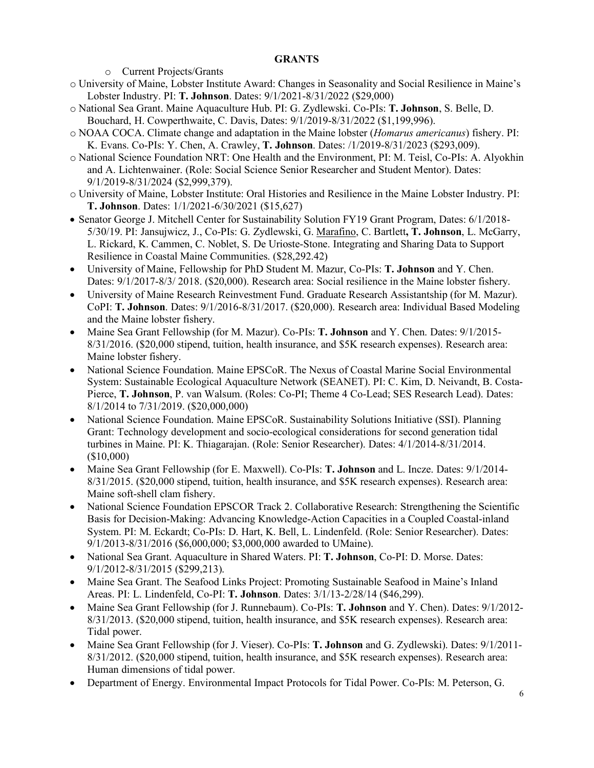## **GRANTS**

o Current Projects/Grants

- o University of Maine, Lobster Institute Award: Changes in Seasonality and Social Resilience in Maine's Lobster Industry. PI: **T. Johnson**. Dates: 9/1/2021-8/31/2022 (\$29,000)
- o National Sea Grant. Maine Aquaculture Hub. PI: G. Zydlewski. Co-PIs: **T. Johnson**, S. Belle, D. Bouchard, H. Cowperthwaite, C. Davis, Dates: 9/1/2019-8/31/2022 (\$1,199,996).
- o NOAA COCA. Climate change and adaptation in the Maine lobster (*Homarus americanus*) fishery. PI: K. Evans. Co-PIs: Y. Chen, A. Crawley, **T. Johnson**. Dates: /1/2019-8/31/2023 (\$293,009).
- o National Science Foundation NRT: One Health and the Environment, PI: M. Teisl, Co-PIs: A. Alyokhin and A. Lichtenwainer. (Role: Social Science Senior Researcher and Student Mentor). Dates: 9/1/2019-8/31/2024 (\$2,999,379).
- o University of Maine, Lobster Institute: Oral Histories and Resilience in the Maine Lobster Industry. PI: **T. Johnson**. Dates: 1/1/2021-6/30/2021 (\$15,627)
- Senator George J. Mitchell Center for Sustainability Solution FY19 Grant Program, Dates: 6/1/2018- 5/30/19. PI: Jansujwicz, J., Co-PIs: G. Zydlewski, G. Marafino, C. Bartlett**, T. Johnson**, L. McGarry, L. Rickard, K. Cammen, C. Noblet, S. De Urioste-Stone. Integrating and Sharing Data to Support Resilience in Coastal Maine Communities. (\$28,292.42)
- University of Maine, Fellowship for PhD Student M. Mazur, Co-PIs: **T. Johnson** and Y. Chen. Dates: 9/1/2017-8/3/ 2018. (\$20,000). Research area: Social resilience in the Maine lobster fishery.
- University of Maine Research Reinvestment Fund. Graduate Research Assistantship (for M. Mazur). CoPI: **T. Johnson**. Dates: 9/1/2016-8/31/2017. (\$20,000). Research area: Individual Based Modeling and the Maine lobster fishery.
- Maine Sea Grant Fellowship (for M. Mazur). Co-PIs: **T. Johnson** and Y. Chen. Dates: 9/1/2015- 8/31/2016. (\$20,000 stipend, tuition, health insurance, and \$5K research expenses). Research area: Maine lobster fishery.
- National Science Foundation. Maine EPSCoR. The Nexus of Coastal Marine Social Environmental System: Sustainable Ecological Aquaculture Network (SEANET). PI: C. Kim, D. Neivandt, B. Costa-Pierce, **T. Johnson**, P. van Walsum. (Roles: Co-PI; Theme 4 Co-Lead; SES Research Lead). Dates: 8/1/2014 to 7/31/2019. (\$20,000,000)
- National Science Foundation. Maine EPSCoR. Sustainability Solutions Initiative (SSI). Planning Grant: Technology development and socio-ecological considerations for second generation tidal turbines in Maine. PI: K. Thiagarajan. (Role: Senior Researcher). Dates: 4/1/2014-8/31/2014. (\$10,000)
- Maine Sea Grant Fellowship (for E. Maxwell). Co-PIs: **T. Johnson** and L. Incze. Dates: 9/1/2014- 8/31/2015. (\$20,000 stipend, tuition, health insurance, and \$5K research expenses). Research area: Maine soft-shell clam fishery.
- National Science Foundation EPSCOR Track 2. Collaborative Research: Strengthening the Scientific Basis for Decision-Making: Advancing Knowledge-Action Capacities in a Coupled Coastal-inland System. PI: M. Eckardt; Co-PIs: D. Hart, K. Bell, L. Lindenfeld. (Role: Senior Researcher). Dates: 9/1/2013-8/31/2016 (\$6,000,000; \$3,000,000 awarded to UMaine).
- National Sea Grant. Aquaculture in Shared Waters. PI: **T. Johnson**, Co-PI: D. Morse. Dates: 9/1/2012-8/31/2015 (\$299,213).
- Maine Sea Grant. The Seafood Links Project: Promoting Sustainable Seafood in Maine's Inland Areas. PI: L. Lindenfeld, Co-PI: **T. Johnson**. Dates: 3/1/13-2/28/14 (\$46,299).
- Maine Sea Grant Fellowship (for J. Runnebaum). Co-PIs: **T. Johnson** and Y. Chen). Dates: 9/1/2012- 8/31/2013. (\$20,000 stipend, tuition, health insurance, and \$5K research expenses). Research area: Tidal power.
- Maine Sea Grant Fellowship (for J. Vieser). Co-PIs: **T. Johnson** and G. Zydlewski). Dates: 9/1/2011- 8/31/2012. (\$20,000 stipend, tuition, health insurance, and \$5K research expenses). Research area: Human dimensions of tidal power.
- Department of Energy. Environmental Impact Protocols for Tidal Power. Co-PIs: M. Peterson, G.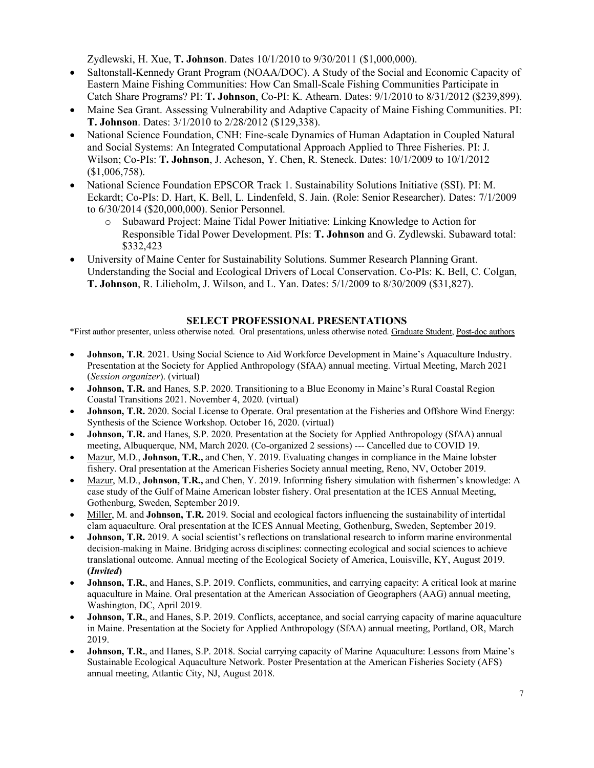Zydlewski, H. Xue, **T. Johnson**. Dates 10/1/2010 to 9/30/2011 (\$1,000,000).

- Saltonstall-Kennedy Grant Program (NOAA/DOC). A Study of the Social and Economic Capacity of Eastern Maine Fishing Communities: How Can Small-Scale Fishing Communities Participate in Catch Share Programs? PI: **T. Johnson**, Co-PI: K. Athearn. Dates: 9/1/2010 to 8/31/2012 (\$239,899).
- Maine Sea Grant. Assessing Vulnerability and Adaptive Capacity of Maine Fishing Communities. PI: **T. Johnson**. Dates: 3/1/2010 to 2/28/2012 (\$129,338).
- National Science Foundation, CNH: Fine-scale Dynamics of Human Adaptation in Coupled Natural and Social Systems: An Integrated Computational Approach Applied to Three Fisheries. PI: J. Wilson; Co-PIs: **T. Johnson**, J. Acheson, Y. Chen, R. Steneck. Dates: 10/1/2009 to 10/1/2012 (\$1,006,758).
- National Science Foundation EPSCOR Track 1. Sustainability Solutions Initiative (SSI). PI: M. Eckardt; Co-PIs: D. Hart, K. Bell, L. Lindenfeld, S. Jain. (Role: Senior Researcher). Dates: 7/1/2009 to 6/30/2014 (\$20,000,000). Senior Personnel.
	- o Subaward Project: Maine Tidal Power Initiative: Linking Knowledge to Action for Responsible Tidal Power Development. PIs: **T. Johnson** and G. Zydlewski. Subaward total: \$332,423
- University of Maine Center for Sustainability Solutions. Summer Research Planning Grant. Understanding the Social and Ecological Drivers of Local Conservation. Co-PIs: K. Bell, C. Colgan, **T. Johnson**, R. Lilieholm, J. Wilson, and L. Yan. Dates: 5/1/2009 to 8/30/2009 (\$31,827).

## **SELECT PROFESSIONAL PRESENTATIONS**

\*First author presenter, unless otherwise noted. Oral presentations, unless otherwise noted. Graduate Student, Post-doc authors

- **Johnson, T.R**. 2021. Using Social Science to Aid Workforce Development in Maine's Aquaculture Industry. Presentation at the Society for Applied Anthropology (SfAA) annual meeting. Virtual Meeting, March 2021 (*Session organizer*). (virtual)
- **Johnson, T.R.** and Hanes, S.P. 2020. Transitioning to a Blue Economy in Maine's Rural Coastal Region Coastal Transitions 2021. November 4, 2020. (virtual)
- **Johnson, T.R.** 2020. Social License to Operate. Oral presentation at the Fisheries and Offshore Wind Energy: Synthesis of the Science Workshop. October 16, 2020. (virtual)
- **Johnson, T.R.** and Hanes, S.P. 2020. Presentation at the Society for Applied Anthropology (SfAA) annual meeting, Albuquerque, NM, March 2020. (Co-organized 2 sessions) --- Cancelled due to COVID 19.
- Mazur, M.D., **Johnson, T.R.,** and Chen, Y. 2019. Evaluating changes in compliance in the Maine lobster fishery. Oral presentation at the American Fisheries Society annual meeting, Reno, NV, October 2019.
- Mazur, M.D., **Johnson, T.R.,** and Chen, Y. 2019. Informing fishery simulation with fishermen's knowledge: A case study of the Gulf of Maine American lobster fishery. Oral presentation at the ICES Annual Meeting, Gothenburg, Sweden, September 2019.
- Miller, M. and **Johnson, T.R.** 2019. Social and ecological factors influencing the sustainability of intertidal clam aquaculture. Oral presentation at the ICES Annual Meeting, Gothenburg, Sweden, September 2019.
- **Johnson, T.R.** 2019. A social scientist's reflections on translational research to inform marine environmental decision-making in Maine. Bridging across disciplines: connecting ecological and social sciences to achieve translational outcome. Annual meeting of the Ecological Society of America, Louisville, KY, August 2019. **(***Invited***)**
- **Johnson, T.R.**, and Hanes, S.P. 2019. Conflicts, communities, and carrying capacity: A critical look at marine aquaculture in Maine. Oral presentation at the American Association of Geographers (AAG) annual meeting, Washington, DC, April 2019.
- **Johnson, T.R.**, and Hanes, S.P. 2019. Conflicts, acceptance, and social carrying capacity of marine aquaculture in Maine. Presentation at the Society for Applied Anthropology (SfAA) annual meeting, Portland, OR, March 2019.
- **Johnson, T.R.**, and Hanes, S.P. 2018. Social carrying capacity of Marine Aquaculture: Lessons from Maine's Sustainable Ecological Aquaculture Network. Poster Presentation at the American Fisheries Society (AFS) annual meeting, Atlantic City, NJ, August 2018.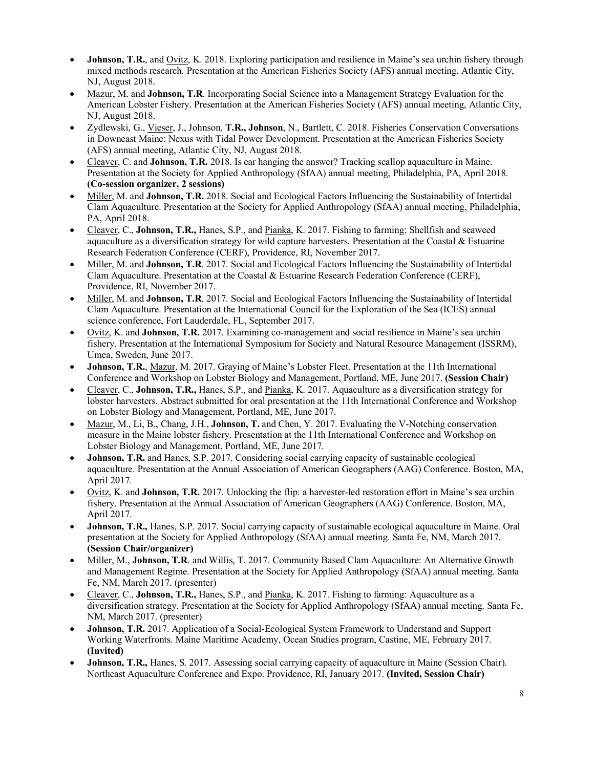- **Johnson, T.R.**, and Ovitz, K. 2018. Exploring participation and resilience in Maine's sea urchin fishery through mixed methods research. Presentation at the American Fisheries Society (AFS) annual meeting, Atlantic City, NJ, August 2018.
- Mazur, M. and **Johnson, T.R**. Incorporating Social Science into a Management Strategy Evaluation for the American Lobster Fishery. Presentation at the American Fisheries Society (AFS) annual meeting, Atlantic City, NJ, August 2018.
- Zydlewski, G., Vieser, J., Johnson, **T.R., Johnson**, N., Bartlett, C. 2018. Fisheries Conservation Conversations in Downeast Maine: Nexus with Tidal Power Development. Presentation at the American Fisheries Society (AFS) annual meeting, Atlantic City, NJ, August 2018.
- Cleaver, C. and **Johnson, T.R.** 2018. Is ear hanging the answer? Tracking scallop aquaculture in Maine. Presentation at the Society for Applied Anthropology (SfAA) annual meeting, Philadelphia, PA, April 2018. **(Co-session organizer, 2 sessions)**
- Miller, M. and **Johnson, T.R.** 2018. Social and Ecological Factors Influencing the Sustainability of Intertidal Clam Aquaculture. Presentation at the Society for Applied Anthropology (SfAA) annual meeting, Philadelphia, PA, April 2018.
- Cleaver, C., **Johnson, T.R.,** Hanes, S.P., and Pianka, K. 2017. Fishing to farming: Shellfish and seaweed aquaculture as a diversification strategy for wild capture harvesters. Presentation at the Coastal  $\&$  Estuarine Research Federation Conference (CERF), Providence, RI, November 2017.
- Miller, M. and **Johnson, T.R**. 2017. Social and Ecological Factors Influencing the Sustainability of Intertidal Clam Aquaculture. Presentation at the Coastal & Estuarine Research Federation Conference (CERF), Providence, RI, November 2017.
- Miller, M. and **Johnson, T.R**. 2017. Social and Ecological Factors Influencing the Sustainability of Intertidal Clam Aquaculture. Presentation at the International Council for the Exploration of the Sea (ICES) annual science conference, Fort Lauderdale, FL, September 2017.
- Ovitz, K. and **Johnson, T.R.** 2017. Examining co-management and social resilience in Maine's sea urchin fishery. Presentation at the International Symposium for Society and Natural Resource Management (ISSRM), Umea, Sweden, June 2017.
- **Johnson, T.R.**, Mazur, M. 2017. Graying of Maine's Lobster Fleet. Presentation at the 11th International Conference and Workshop on Lobster Biology and Management, Portland, ME, June 2017. **(Session Chair)**
- Cleaver, C., **Johnson, T.R.,** Hanes, S.P., and Pianka, K. 2017. Aquaculture as a diversification strategy for lobster harvesters. Abstract submitted for oral presentation at the 11th International Conference and Workshop on Lobster Biology and Management, Portland, ME, June 2017.
- Mazur, M., Li, B., Chang, J.H., **Johnson, T.** and Chen, Y. 2017. Evaluating the V-Notching conservation measure in the Maine lobster fishery. Presentation at the 11th International Conference and Workshop on Lobster Biology and Management, Portland, ME, June 2017.
- **Johnson, T.R.** and Hanes, S.P. 2017. Considering social carrying capacity of sustainable ecological aquaculture. Presentation at the Annual Association of American Geographers (AAG) Conference. Boston, MA, April 2017.
- Ovitz, K. and **Johnson, T.R.** 2017. Unlocking the flip: a harvester-led restoration effort in Maine's sea urchin fishery. Presentation at the Annual Association of American Geographers (AAG) Conference. Boston, MA, April 2017.
- **Johnson, T.R.,** Hanes, S.P. 2017. Social carrying capacity of sustainable ecological aquaculture in Maine. Oral presentation at the Society for Applied Anthropology (SfAA) annual meeting. Santa Fe, NM, March 2017. **(Session Chair/organizer)**
- Miller, M., **Johnson, T.R**. and Willis, T. 2017. Community Based Clam Aquaculture: An Alternative Growth and Management Regime. Presentation at the Society for Applied Anthropology (SfAA) annual meeting. Santa Fe, NM, March 2017. (presenter)
- Cleaver, C., **Johnson, T.R.,** Hanes, S.P., and Pianka, K. 2017. Fishing to farming: Aquaculture as a diversification strategy. Presentation at the Society for Applied Anthropology (SfAA) annual meeting. Santa Fe, NM, March 2017. (presenter)
- **Johnson, T.R.** 2017. Application of a Social-Ecological System Framework to Understand and Support Working Waterfronts. Maine Maritime Academy, Ocean Studies program, Castine, ME, February 2017. **(Invited)**
- **Johnson, T.R.,** Hanes, S. 2017. Assessing social carrying capacity of aquaculture in Maine (Session Chair). Northeast Aquaculture Conference and Expo. Providence, RI, January 2017. **(Invited, Session Chair)**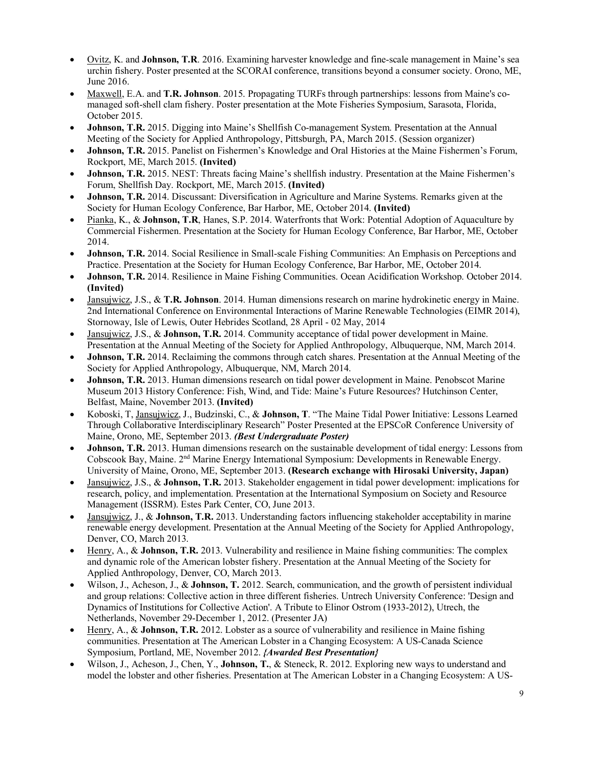- Ovitz, K. and **Johnson, T.R**. 2016. Examining harvester knowledge and fine-scale management in Maine's sea urchin fishery. Poster presented at the SCORAI conference, transitions beyond a consumer society. Orono, ME, June 2016.
- Maxwell, E.A. and **T.R. Johnson**. 2015. Propagating TURFs through partnerships: lessons from Maine's comanaged soft-shell clam fishery. Poster presentation at the Mote Fisheries Symposium, Sarasota, Florida, October 2015.
- **Johnson, T.R.** 2015. Digging into Maine's Shellfish Co-management System. Presentation at the Annual Meeting of the Society for Applied Anthropology, Pittsburgh, PA, March 2015. (Session organizer)
- **Johnson, T.R.** 2015. Panelist on Fishermen's Knowledge and Oral Histories at the Maine Fishermen's Forum, Rockport, ME, March 2015. **(Invited)**
- **Johnson, T.R.** 2015. NEST: Threats facing Maine's shellfish industry. Presentation at the Maine Fishermen's Forum, Shellfish Day. Rockport, ME, March 2015. **(Invited)**
- **Johnson, T.R.** 2014. Discussant: Diversification in Agriculture and Marine Systems. Remarks given at the Society for Human Ecology Conference, Bar Harbor, ME, October 2014. **(Invited)**
- Pianka, K., & **Johnson, T.R**, Hanes, S.P. 2014. Waterfronts that Work: Potential Adoption of Aquaculture by Commercial Fishermen. Presentation at the Society for Human Ecology Conference, Bar Harbor, ME, October 2014.
- **Johnson, T.R.** 2014. Social Resilience in Small-scale Fishing Communities: An Emphasis on Perceptions and Practice. Presentation at the Society for Human Ecology Conference, Bar Harbor, ME, October 2014.
- **Johnson, T.R.** 2014. Resilience in Maine Fishing Communities. Ocean Acidification Workshop. October 2014. **(Invited)**
- Jansujwicz, J.S., & **T.R. Johnson**. 2014. Human dimensions research on marine hydrokinetic energy in Maine. 2nd International Conference on Environmental Interactions of Marine Renewable Technologies (EIMR 2014), Stornoway, Isle of Lewis, Outer Hebrides Scotland, 28 April - 02 May, 2014
- Jansujwicz, J.S., & **Johnson, T.R.** 2014. Community acceptance of tidal power development in Maine. Presentation at the Annual Meeting of the Society for Applied Anthropology, Albuquerque, NM, March 2014.
- **Johnson, T.R.** 2014. Reclaiming the commons through catch shares. Presentation at the Annual Meeting of the Society for Applied Anthropology, Albuquerque, NM, March 2014.
- **Johnson, T.R.** 2013. Human dimensions research on tidal power development in Maine. Penobscot Marine Museum 2013 History Conference: Fish, Wind, and Tide: Maine's Future Resources? Hutchinson Center, Belfast, Maine, November 2013. **(Invited)**
- Koboski, T, Jansujwicz, J., Budzinski, C., & **Johnson, T**. "The Maine Tidal Power Initiative: Lessons Learned Through Collaborative Interdisciplinary Research" Poster Presented at the EPSCoR Conference University of Maine, Orono, ME, September 2013. *(Best Undergraduate Poster)*
- **Johnson, T.R.** 2013. Human dimensions research on the sustainable development of tidal energy: Lessons from Cobscook Bay, Maine. 2nd Marine Energy International Symposium: Developments in Renewable Energy. University of Maine, Orono, ME, September 2013. **(Research exchange with Hirosaki University, Japan)**
- Jansujwicz, J.S., & **Johnson, T.R.** 2013. Stakeholder engagement in tidal power development: implications for research, policy, and implementation. Presentation at the International Symposium on Society and Resource Management (ISSRM). Estes Park Center, CO, June 2013.
- Jansujwicz, J., & **Johnson, T.R.** 2013. Understanding factors influencing stakeholder acceptability in marine renewable energy development. Presentation at the Annual Meeting of the Society for Applied Anthropology, Denver, CO, March 2013.
- Henry, A., & **Johnson, T.R.** 2013. Vulnerability and resilience in Maine fishing communities: The complex and dynamic role of the American lobster fishery. Presentation at the Annual Meeting of the Society for Applied Anthropology, Denver, CO, March 2013.
- Wilson, J., Acheson, J., & **Johnson, T.** 2012. Search, communication, and the growth of persistent individual and group relations: Collective action in three different fisheries. Untrech University Conference: 'Design and Dynamics of Institutions for Collective Action'. A Tribute to Elinor Ostrom (1933-2012), Utrech, the Netherlands, November 29-December 1, 2012. (Presenter JA)
- Henry, A., & **Johnson, T.R.** 2012. Lobster as a source of vulnerability and resilience in Maine fishing communities. Presentation at The American Lobster in a Changing Ecosystem: A US-Canada Science Symposium, Portland, ME, November 2012. *{Awarded Best Presentation}*
- Wilson, J., Acheson, J., Chen, Y., **Johnson, T.**, & Steneck, R. 2012. Exploring new ways to understand and model the lobster and other fisheries. Presentation at The American Lobster in a Changing Ecosystem: A US-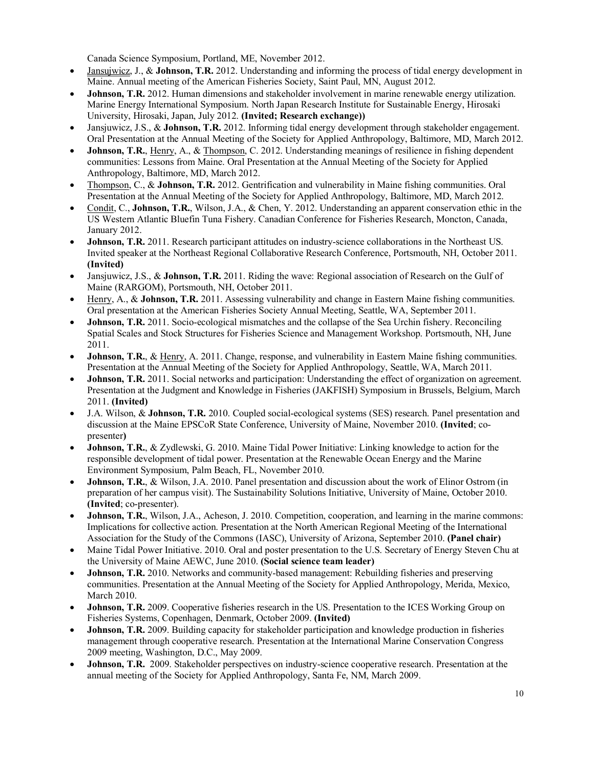Canada Science Symposium, Portland, ME, November 2012.

- Jansujwicz, J., & **Johnson, T.R.** 2012. Understanding and informing the process of tidal energy development in Maine. Annual meeting of the American Fisheries Society, Saint Paul, MN, August 2012.
- **Johnson, T.R.** 2012. Human dimensions and stakeholder involvement in marine renewable energy utilization. Marine Energy International Symposium. North Japan Research Institute for Sustainable Energy, Hirosaki University, Hirosaki, Japan, July 2012. **(Invited; Research exchange))**
- Jansjuwicz, J.S., & **Johnson, T.R.** 2012. Informing tidal energy development through stakeholder engagement. Oral Presentation at the Annual Meeting of the Society for Applied Anthropology, Baltimore, MD, March 2012.
- **Johnson, T.R.**, Henry, A., & Thompson, C. 2012. Understanding meanings of resilience in fishing dependent communities: Lessons from Maine. Oral Presentation at the Annual Meeting of the Society for Applied Anthropology, Baltimore, MD, March 2012.
- Thompson, C., & **Johnson, T.R.** 2012. Gentrification and vulnerability in Maine fishing communities. Oral Presentation at the Annual Meeting of the Society for Applied Anthropology, Baltimore, MD, March 2012.
- Condit, C., **Johnson, T.R.**, Wilson, J.A., & Chen, Y. 2012. Understanding an apparent conservation ethic in the US Western Atlantic Bluefin Tuna Fishery. Canadian Conference for Fisheries Research, Moncton, Canada, January 2012.
- **Johnson, T.R.** 2011. Research participant attitudes on industry-science collaborations in the Northeast US. Invited speaker at the Northeast Regional Collaborative Research Conference, Portsmouth, NH, October 2011. **(Invited)**
- Jansjuwicz, J.S., & **Johnson, T.R.** 2011. Riding the wave: Regional association of Research on the Gulf of Maine (RARGOM), Portsmouth, NH, October 2011.
- Henry, A., & **Johnson, T.R.** 2011. Assessing vulnerability and change in Eastern Maine fishing communities. Oral presentation at the American Fisheries Society Annual Meeting, Seattle, WA, September 2011.
- **Johnson, T.R.** 2011. Socio-ecological mismatches and the collapse of the Sea Urchin fishery. Reconciling Spatial Scales and Stock Structures for Fisheries Science and Management Workshop. Portsmouth, NH, June 2011.
- **Johnson, T.R.**, & Henry, A. 2011. Change, response, and vulnerability in Eastern Maine fishing communities. Presentation at the Annual Meeting of the Society for Applied Anthropology, Seattle, WA, March 2011.
- **Johnson, T.R.** 2011. Social networks and participation: Understanding the effect of organization on agreement. Presentation at the Judgment and Knowledge in Fisheries (JAKFISH) Symposium in Brussels, Belgium, March 2011. **(Invited)**
- J.A. Wilson, & **Johnson, T.R.** 2010. Coupled social-ecological systems (SES) research. Panel presentation and discussion at the Maine EPSCoR State Conference, University of Maine, November 2010. **(Invited**; copresenter**)**
- **Johnson, T.R.**, & Zydlewski, G. 2010. Maine Tidal Power Initiative: Linking knowledge to action for the responsible development of tidal power. Presentation at the Renewable Ocean Energy and the Marine Environment Symposium, Palm Beach, FL, November 2010.
- **Johnson, T.R.**, & Wilson, J.A. 2010. Panel presentation and discussion about the work of Elinor Ostrom (in preparation of her campus visit). The Sustainability Solutions Initiative, University of Maine, October 2010. **(Invited**; co-presenter).
- **Johnson, T.R.**, Wilson, J.A., Acheson, J. 2010. Competition, cooperation, and learning in the marine commons: Implications for collective action. Presentation at the North American Regional Meeting of the International Association for the Study of the Commons (IASC), University of Arizona, September 2010. **(Panel chair)**
- Maine Tidal Power Initiative. 2010. Oral and poster presentation to the U.S. Secretary of Energy Steven Chu at the University of Maine AEWC, June 2010. **(Social science team leader)**
- **Johnson, T.R.** 2010. Networks and community-based management: Rebuilding fisheries and preserving communities. Presentation at the Annual Meeting of the Society for Applied Anthropology, Merida, Mexico, March 2010.
- **Johnson, T.R.** 2009. Cooperative fisheries research in the US. Presentation to the ICES Working Group on Fisheries Systems, Copenhagen, Denmark, October 2009. **(Invited)**
- **Johnson, T.R.** 2009. Building capacity for stakeholder participation and knowledge production in fisheries management through cooperative research. Presentation at the International Marine Conservation Congress 2009 meeting, Washington, D.C., May 2009.
- **Johnson, T.R.** 2009. Stakeholder perspectives on industry-science cooperative research. Presentation at the annual meeting of the Society for Applied Anthropology, Santa Fe, NM, March 2009.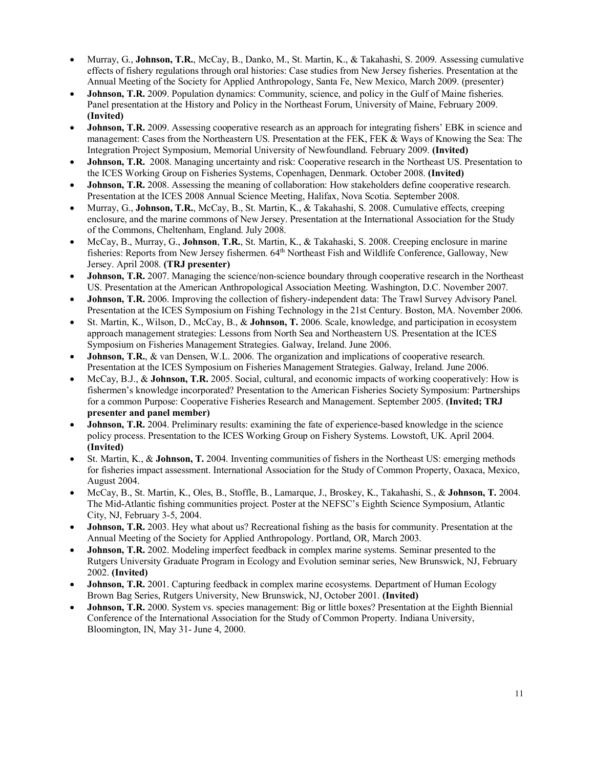- Murray, G., **Johnson, T.R.**, McCay, B., Danko, M., St. Martin, K., & Takahashi, S. 2009. Assessing cumulative effects of fishery regulations through oral histories: Case studies from New Jersey fisheries. Presentation at the Annual Meeting of the Society for Applied Anthropology, Santa Fe, New Mexico, March 2009. (presenter)
- **Johnson, T.R.** 2009. Population dynamics: Community, science, and policy in the Gulf of Maine fisheries. Panel presentation at the History and Policy in the Northeast Forum, University of Maine, February 2009. **(Invited)**
- **Johnson, T.R.** 2009. Assessing cooperative research as an approach for integrating fishers' EBK in science and management: Cases from the Northeastern US. Presentation at the FEK, FEK & Ways of Knowing the Sea: The Integration Project Symposium, Memorial University of Newfoundland. February 2009. **(Invited)**
- **Johnson, T.R.** 2008. Managing uncertainty and risk: Cooperative research in the Northeast US. Presentation to the ICES Working Group on Fisheries Systems, Copenhagen, Denmark. October 2008. **(Invited)**
- **Johnson, T.R.** 2008. Assessing the meaning of collaboration: How stakeholders define cooperative research. Presentation at the ICES 2008 Annual Science Meeting, Halifax, Nova Scotia. September 2008.
- Murray, G., **Johnson, T.R.**, McCay, B., St. Martin, K., & Takahashi, S. 2008. Cumulative effects, creeping enclosure, and the marine commons of New Jersey. Presentation at the International Association for the Study of the Commons, Cheltenham, England. July 2008.
- McCay, B., Murray, G., **Johnson**, **T.R.**, St. Martin, K., & Takahaski, S. 2008. Creeping enclosure in marine fisheries: Reports from New Jersey fishermen. 64th Northeast Fish and Wildlife Conference, Galloway, New Jersey. April 2008. **(TRJ presenter)**
- **Johnson, T.R.** 2007. Managing the science/non-science boundary through cooperative research in the Northeast US. Presentation at the American Anthropological Association Meeting. Washington, D.C. November 2007.
- **Johnson, T.R.** 2006. Improving the collection of fishery-independent data: The Trawl Survey Advisory Panel. Presentation at the ICES Symposium on Fishing Technology in the 21st Century. Boston, MA. November 2006.
- St. Martin, K., Wilson, D., McCay, B., & **Johnson, T.** 2006. Scale, knowledge, and participation in ecosystem approach management strategies: Lessons from North Sea and Northeastern US. Presentation at the ICES Symposium on Fisheries Management Strategies. Galway, Ireland. June 2006.
- **Johnson, T.R.**, & van Densen, W.L. 2006. The organization and implications of cooperative research. Presentation at the ICES Symposium on Fisheries Management Strategies. Galway, Ireland. June 2006.
- McCay, B.J., & **Johnson, T.R.** 2005. Social, cultural, and economic impacts of working cooperatively: How is fishermen's knowledge incorporated? Presentation to the American Fisheries Society Symposium: Partnerships for a common Purpose: Cooperative Fisheries Research and Management. September 2005. **(Invited; TRJ presenter and panel member)**
- **Johnson, T.R.** 2004. Preliminary results: examining the fate of experience-based knowledge in the science policy process. Presentation to the ICES Working Group on Fishery Systems. Lowstoft, UK. April 2004. **(Invited)**
- St. Martin, K., & **Johnson, T.** 2004. Inventing communities of fishers in the Northeast US: emerging methods for fisheries impact assessment. International Association for the Study of Common Property, Oaxaca, Mexico, August 2004.
- McCay, B., St. Martin, K., Oles, B., Stoffle, B., Lamarque, J., Broskey, K., Takahashi, S., & **Johnson, T.** 2004. The Mid-Atlantic fishing communities project. Poster at the NEFSC's Eighth Science Symposium, Atlantic City, NJ, February 3-5, 2004.
- **Johnson, T.R.** 2003. Hey what about us? Recreational fishing as the basis for community. Presentation at the Annual Meeting of the Society for Applied Anthropology. Portland, OR, March 2003.
- **Johnson, T.R.** 2002. Modeling imperfect feedback in complex marine systems. Seminar presented to the Rutgers University Graduate Program in Ecology and Evolution seminar series, New Brunswick, NJ, February 2002. **(Invited)**
- **Johnson, T.R.** 2001. Capturing feedback in complex marine ecosystems. Department of Human Ecology Brown Bag Series, Rutgers University, New Brunswick, NJ, October 2001. **(Invited)**
- **Johnson, T.R.** 2000. System vs. species management: Big or little boxes? Presentation at the Eighth Biennial Conference of the International Association for the Study of Common Property. Indiana University, Bloomington, IN, May 31- June 4, 2000.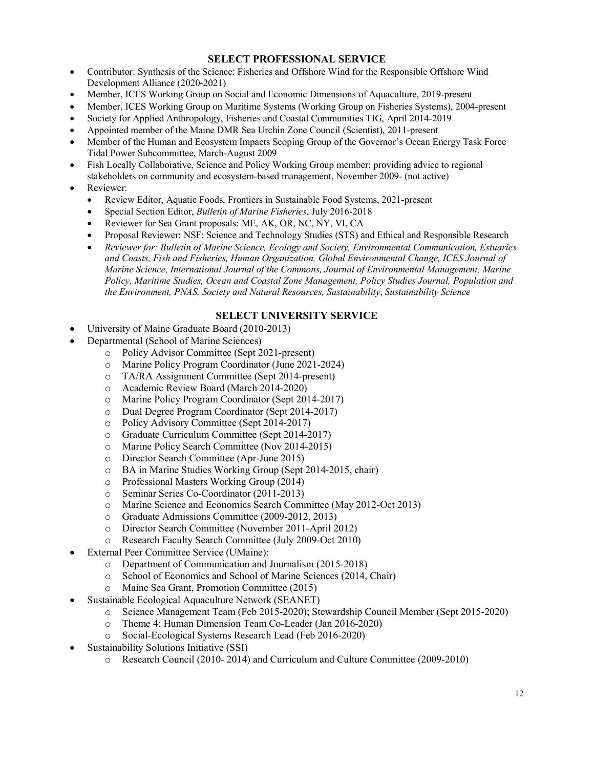## **SELECT PROFESSIONAL SERVICE**

- Contributor: Synthesis of the Science: Fisheries and Offshore Wind for the Responsible Offshore Wind Development Alliance (2020-2021)
- Member, ICES Working Group on Social and Economic Dimensions of Aquaculture, 2019-present
- Member, ICES Working Group on Maritime Systems (Working Group on Fisheries Systems), 2004-present
- Society for Applied Anthropology, Fisheries and Coastal Communities TIG, April 2014-2019
- Appointed member of the Maine DMR Sea Urchin Zone Council (Scientist), 2011-present
- Member of the Human and Ecosystem Impacts Scoping Group of the Governor's Ocean Energy Task Force Tidal Power Subcommittee, March-August 2009
- Fish Locally Collaborative, Science and Policy Working Group member; providing advice to regional stakeholders on community and ecosystem-based management, November 2009- (not active)
- Reviewer:
	- Review Editor, Aquatic Foods, Frontiers in Sustainable Food Systems, 2021-present
	- Special Section Editor, *Bulletin of Marine Fisheries*, July 2016-2018
	- Reviewer for Sea Grant proposals: ME, AK, OR, NC, NY, VI, CA
	- Proposal Reviewer: NSF: Science and Technology Studies (STS) and Ethical and Responsible Research
	- *Reviewer for: Bulletin of Marine Science, Ecology and Society, Environmental Communication, Estuaries and Coasts, Fish and Fisheries, Human Organization, Global Environmental Change, ICES Journal of Marine Science, International Journal of the Commons, Journal of Environmental Management, Marine Policy, Maritime Studies, Ocean and Coastal Zone Management, Policy Studies Journal, Population and the Environment, PNAS, Society and Natural Resources, Sustainability*, *Sustainability Science*

#### **SELECT UNIVERSITY SERVICE**

- University of Maine Graduate Board (2010-2013)
- Departmental (School of Marine Sciences)
	- o Policy Advisor Committee (Sept 2021-present)
	- o Marine Policy Program Coordinator (June 2021-2024)
	- o TA/RA Assignment Committee (Sept 2014-present)
	- o Academic Review Board (March 2014-2020)
	- o Marine Policy Program Coordinator (Sept 2014-2017)
	- o Dual Degree Program Coordinator (Sept 2014-2017)
	- o Policy Advisory Committee (Sept 2014-2017)
	- o Graduate Curriculum Committee (Sept 2014-2017)
	- o Marine Policy Search Committee (Nov 2014-2015)
	- o Director Search Committee (Apr-June 2015)
	- o BA in Marine Studies Working Group (Sept 2014-2015, chair)
	- o Professional Masters Working Group (2014)
	- o Seminar Series Co-Coordinator (2011-2013)
	- o Marine Science and Economics Search Committee (May 2012-Oct 2013)
	- o Graduate Admissions Committee (2009-2012, 2013)
	- o Director Search Committee (November 2011-April 2012)
	- o Research Faculty Search Committee (July 2009-Oct 2010)
- External Peer Committee Service (UMaine):
	- o Department of Communication and Journalism (2015-2018)
	- o School of Economics and School of Marine Sciences (2014, Chair)
	- o Maine Sea Grant, Promotion Committee (2015)
- Sustainable Ecological Aquaculture Network (SEANET)
	- o Science Management Team (Feb 2015-2020); Stewardship Council Member (Sept 2015-2020)
	- o Theme 4: Human Dimension Team Co-Leader (Jan 2016-2020)
	- o Social-Ecological Systems Research Lead (Feb 2016-2020)
- Sustainability Solutions Initiative (SSI)
	- o Research Council (2010- 2014) and Curriculum and Culture Committee (2009-2010)